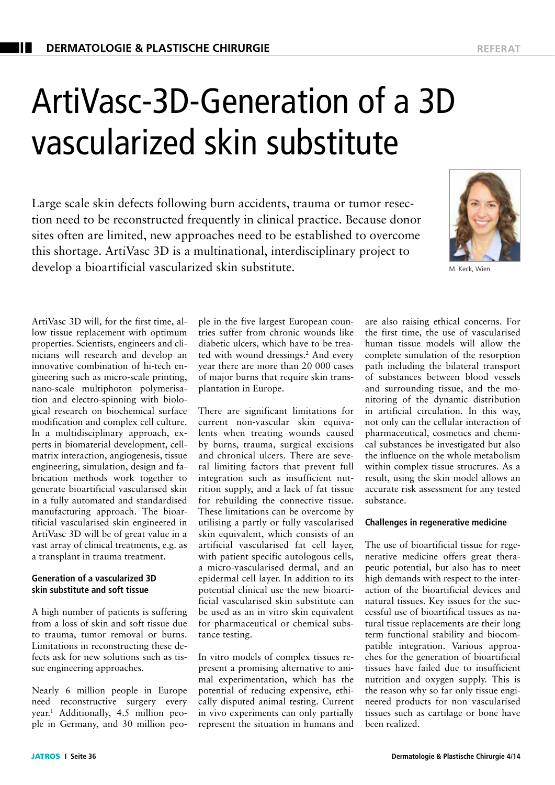# ArtiVasc-3D-Generation of a 3D vascularized skin substitute

Large scale skin defects following burn accidents, trauma or tumor resection need to be reconstructed frequently in clinical practice. Because donor sites often are limited, new approaches need to be established to overcome this shortage. ArtiVasc 3D is a multinational, interdisciplinary project to develop a bioartificial vascularized skin substitute.



M. Keck, Wien

ArtiVasc 3D will, for the first time, allow tissue replacement with optimum properties. Scientists, engineers and clinicians will research and develop an innovative combination of hi-tech engineering such as micro-scale printing, nano-scale multiphoton polymerisation and electro-spinning with biological research on biochemical surface modification and complex cell culture. In a multidisciplinary approach, experts in biomaterial development, cellmatrix interaction, angiogenesis, tissue engineering, simulation, design and fabrication methods work together to generate bioartificial vascularised skin in a fully automated and standardised manufacturing approach. The bioartificial vascularised skin engineered in ArtiVasc 3D will be of great value in a vast array of clinical treatments, e.g. as a transplant in trauma treatment.

## **Generation of a vascularized 3D skin substitute and soft tissue**

A high number of patients is suffering from a loss of skin and soft tissue due to trauma, tumor removal or burns. Limitations in reconstructing these defects ask for new solutions such as tissue engineering approaches.

Nearly 6 million people in Europe need reconstructive surgery every year.1 Additionally, 4.5 million people in Germany, and 30 million people in the five largest European countries suffer from chronic wounds like diabetic ulcers, which have to be treated with wound dressings.2 And every year there are more than 20 000 cases of major burns that require skin transplantation in Europe.

There are significant limitations for current non-vascular skin equivalents when treating wounds caused by burns, trauma, surgical excisions and chronical ulcers. There are several limiting factors that prevent full integration such as insufficient nutrition supply, and a lack of fat tissue for rebuilding the connective tissue. These limitations can be overcome by utilising a partly or fully vascularised skin equivalent, which consists of an artificial vascularised fat cell layer, with patient specific autologous cells, a micro-vascularised dermal, and an epidermal cell layer. In addition to its potential clinical use the new bioartificial vascularised skin substitute can be used as an in vitro skin equivalent for pharmaceutical or chemical substance testing.

In vitro models of complex tissues represent a promising alternative to animal experimentation, which has the potential of reducing expensive, ethically disputed animal testing. Current in vivo experiments can only partially represent the situation in humans and are also raising ethical concerns. For the first time, the use of vascularised human tissue models will allow the complete simulation of the resorption path including the bilateral transport of substances between blood vessels and surrounding tissue, and the monitoring of the dynamic distribution in artificial circulation. In this way, not only can the cellular interaction of pharmaceutical, cosmetics and chemical substances be investigated but also the influence on the whole metabolism within complex tissue structures. As a result, using the skin model allows an accurate risk assessment for any tested substance.

# **Challenges in regenerative medicine**

The use of bioartificial tissue for regenerative medicine offers great therapeutic potential, but also has to meet high demands with respect to the interaction of the bioartificial devices and natural tissues. Key issues for the successful use of bioartifical tissues as natural tissue replacements are their long term functional stability and biocompatible integration. Various approaches for the generation of bioartificial tissues have failed due to insufficient nutrition and oxygen supply. This is the reason why so far only tissue engineered products for non vascularised tissues such as cartilage or bone have been realized.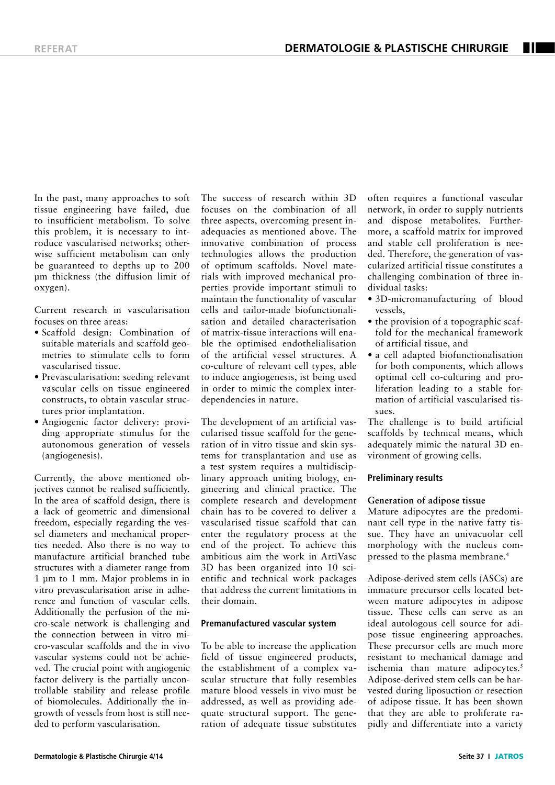In the past, many approaches to soft tissue engineering have failed, due to insufficient metabolism. To solve this problem, it is necessary to introduce vascularised networks; otherwise sufficient metabolism can only be guaranteed to depths up to 200 μm thickness (the diffusion limit of oxygen).

Current research in vascularisation focuses on three areas:

- Scaffold design: Combination of suitable materials and scaffold geometries to stimulate cells to form vascularised tissue.
- Prevascularisation: seeding relevant vascular cells on tissue engineered constructs, to obtain vascular structures prior implantation.
- Angiogenic factor delivery: providing appropriate stimulus for the autonomous generation of vessels (angiogenesis).

Currently, the above mentioned objectives cannot be realised sufficiently. In the area of scaffold design, there is a lack of geometric and dimensional freedom, especially regarding the vessel diameters and mechanical properties needed. Also there is no way to manufacture artificial branched tube structures with a diameter range from 1 μm to 1 mm. Major problems in in vitro prevascularisation arise in adherence and function of vascular cells. Additionally the perfusion of the micro-scale network is challenging and the connection between in vitro micro-vascular scaffolds and the in vivo vascular systems could not be achieved. The crucial point with angiogenic factor delivery is the partially uncontrollable stability and release profile of biomolecules. Additionally the ingrowth of vessels from host is still needed to perform vascularisation.

The success of research within 3D focuses on the combination of all three aspects, overcoming present inadequacies as mentioned above. The innovative combination of process technologies allows the production of optimum scaffolds. Novel materials with improved mechanical properties provide important stimuli to maintain the functionality of vascular cells and tailor-made biofunctionalisation and detailed characterisation of matrix-tissue interactions will enable the optimised endothelialisation of the artificial vessel structures. A co-culture of relevant cell types, able to induce angiogenesis, ist being used in order to mimic the complex interdependencies in nature.

The development of an artificial vascularised tissue scaffold for the generation of in vitro tissue and skin systems for transplantation and use as a test system requires a multidisciplinary approach uniting biology, engineering and clinical practice. The complete research and development chain has to be covered to deliver a vascularised tissue scaffold that can enter the regulatory process at the end of the project. To achieve this ambitious aim the work in ArtiVasc 3D has been organized into 10 scientific and technical work packages that address the current limitations in their domain.

## **Premanufactured vascular system**

To be able to increase the application field of tissue engineered products, the establishment of a complex vascular structure that fully resembles mature blood vessels in vivo must be addressed, as well as providing adequate structural support. The generation of adequate tissue substitutes

often requires a functional vascular network, in order to supply nutrients and dispose metabolites. Furthermore, a scaffold matrix for improved and stable cell proliferation is needed. Therefore, the generation of vascularized artificial tissue constitutes a challenging combination of three individual tasks:

- 3D-micromanufacturing of blood vessels,
- the provision of a topographic scaffold for the mechanical framework of artificial tissue, and
- a cell adapted biofunctionalisation for both components, which allows optimal cell co-culturing and proliferation leading to a stable formation of artificial vascularised tissues.

The challenge is to build artificial scaffolds by technical means, which adequately mimic the natural 3D environment of growing cells.

## **Preliminary results**

#### **Generation of adipose tissue**

Mature adipocytes are the predominant cell type in the native fatty tissue. They have an univacuolar cell morphology with the nucleus compressed to the plasma membrane.<sup>4</sup>

Adipose-derived stem cells (ASCs) are immature precursor cells located between mature adipocytes in adipose tissue. These cells can serve as an ideal autologous cell source for adipose tissue engineering approaches. These precursor cells are much more resistant to mechanical damage and ischemia than mature adipocytes.<sup>5</sup> Adipose-derived stem cells can be harvested during liposuction or resection of adipose tissue. It has been shown that they are able to proliferate rapidly and differentiate into a variety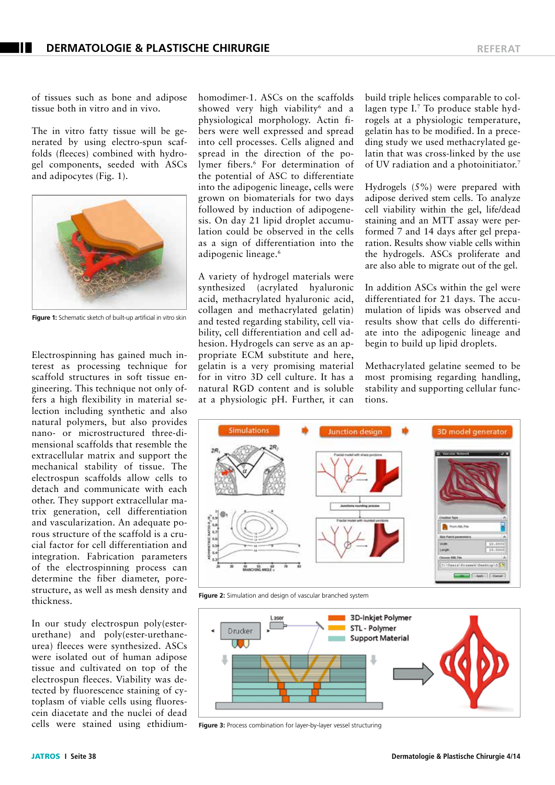of tissues such as bone and adipose tissue both in vitro and in vivo.

The in vitro fatty tissue will be generated by using electro-spun scaffolds (fleeces) combined with hydrogel components, seeded with ASCs and adipocytes (Fig. 1).



**Figure 1:** Schematic sketch of built-up artificial in vitro skin

Electrospinning has gained much interest as processing technique for scaffold structures in soft tissue engineering. This technique not only offers a high flexibility in material selection including synthetic and also natural polymers, but also provides nano- or microstructured three-dimensional scaffolds that resemble the extracellular matrix and support the mechanical stability of tissue. The electrospun scaffolds allow cells to detach and communicate with each other. They support extracellular matrix generation, cell differentiation and vascularization. An adequate porous structure of the scaffold is a crucial factor for cell differentiation and integration. Fabrication parameters of the electrospinning process can determine the fiber diameter, porestructure, as well as mesh density and thickness.

In our study electrospun poly(esterurethane) and poly(ester-urethaneurea) fleeces were synthesized. ASCs were isolated out of human adipose tissue and cultivated on top of the electrospun fleeces. Viability was detected by fluorescence staining of cytoplasm of viable cells using fluorescein diacetate and the nuclei of dead cells were stained using ethidiumhomodimer-1. ASCs on the scaffolds showed very high viability<sup>6</sup> and a physiological morphology. Actin fibers were well expressed and spread into cell processes. Cells aligned and spread in the direction of the polymer fibers.<sup>6</sup> For determination of the potential of ASC to differentiate into the adipogenic lineage, cells were grown on biomaterials for two days followed by induction of adipogenesis. On day 21 lipid droplet accumulation could be observed in the cells as a sign of differentiation into the adipogenic lineage.<sup>6</sup>

A variety of hydrogel materials were synthesized (acrylated hyaluronic acid, methacrylated hyaluronic acid, collagen and methacrylated gelatin) and tested regarding stability, cell viability, cell differentiation and cell adhesion. Hydrogels can serve as an appropriate ECM substitute and here, gelatin is a very promising material for in vitro 3D cell culture. It has a natural RGD content and is soluble at a physiologic pH. Further, it can build triple helices comparable to collagen type I.7 To produce stable hydrogels at a physiologic temperature, gelatin has to be modified. In a preceding study we used methacrylated gelatin that was cross-linked by the use of UV radiation and a photoinitiator.7

Hydrogels (5%) were prepared with adipose derived stem cells. To analyze cell viability within the gel, life/dead staining and an MTT assay were performed 7 and 14 days after gel preparation. Results show viable cells within the hydrogels. ASCs proliferate and are also able to migrate out of the gel.

In addition ASCs within the gel were differentiated for 21 days. The accumulation of lipids was observed and results show that cells do differentiate into the adipogenic lineage and begin to build up lipid droplets.

Methacrylated gelatine seemed to be most promising regarding handling, stability and supporting cellular functions.



**Figure 2:** Simulation and design of vascular branched system



**Figure 3:** Process combination for layer-by-layer vessel structuring